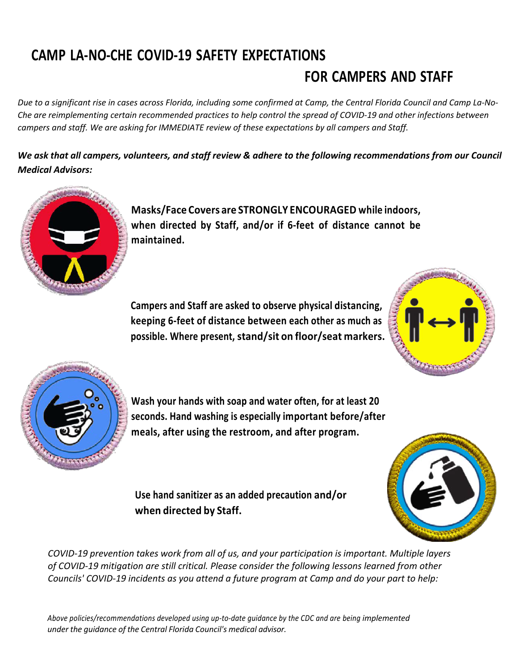## **CAMP LA-NO-CHE COVID-19 SAFETY EXPECTATIONS**

# **FOR CAMPERS AND STAFF**

*Due to a significant rise in cases across Florida, including some confirmed at Camp, the Central Florida Council and Camp La-No-Che are reimplementing certain recommended practices to help control the spread of COVID-19 and other infections between campers and staff. We are asking for IMMEDIATE review of these expectations by all campers and Staff.*

*We ask that all campers, volunteers, and staff review & adhere to the following recommendations from our Council Medical Advisors:*



**Masks/Face Covers are STRONGLY ENCOURAGED while indoors, when directed by Staff, and/or if 6-feet of distance cannot be maintained.**

**Campers and Staff are asked to observe physical distancing, keeping 6-feet of distance between each other as much as possible. Where present, stand/sit on floor/seat markers.**





**Wash your hands with soap and water often, for at least 20 seconds. Hand washing is especially important before/after meals, after using the restroom, and after program.**

**Use hand sanitizer as an added precaution and/or when directed by Staff.**



*COVID-19 prevention takes work from all of us, and your participation is important. Multiple layers of COVID-19 mitigation are still critical. Please consider the following lessons learned from other Councils' COVID-19 incidents as you attend a future program at Camp and do your part to help:*

*Above policies/recommendations developed using up-to-date guidance by the CDC and are being implemented under the guidance of the Central Florida Council's medical advisor.*